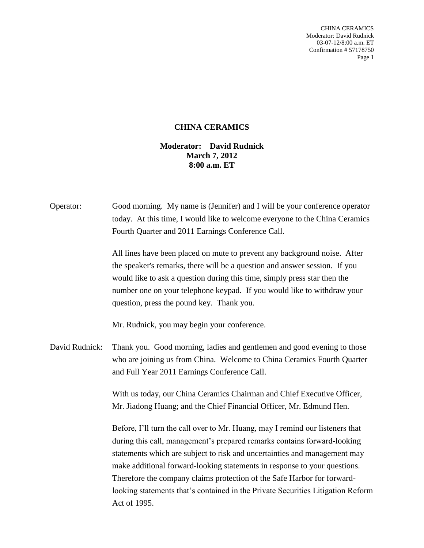CHINA CERAMICS Moderator: David Rudnick 03-07-12/8:00 a.m. ET Confirmation # 57178750 Page 1

## **CHINA CERAMICS**

## **Moderator: David Rudnick March 7, 2012 8:00 a.m. ET**

| Operator:      | Good morning. My name is (Jennifer) and I will be your conference operator<br>today. At this time, I would like to welcome everyone to the China Ceramics<br>Fourth Quarter and 2011 Earnings Conference Call.<br>All lines have been placed on mute to prevent any background noise. After<br>the speaker's remarks, there will be a question and answer session. If you<br>would like to ask a question during this time, simply press star then the<br>number one on your telephone keypad. If you would like to withdraw your<br>question, press the pound key. Thank you. |
|----------------|--------------------------------------------------------------------------------------------------------------------------------------------------------------------------------------------------------------------------------------------------------------------------------------------------------------------------------------------------------------------------------------------------------------------------------------------------------------------------------------------------------------------------------------------------------------------------------|
|                | Mr. Rudnick, you may begin your conference.                                                                                                                                                                                                                                                                                                                                                                                                                                                                                                                                    |
| David Rudnick: | Thank you. Good morning, ladies and gentlemen and good evening to those<br>who are joining us from China. Welcome to China Ceramics Fourth Quarter<br>and Full Year 2011 Earnings Conference Call.                                                                                                                                                                                                                                                                                                                                                                             |
|                | With us today, our China Ceramics Chairman and Chief Executive Officer,<br>Mr. Jiadong Huang; and the Chief Financial Officer, Mr. Edmund Hen.                                                                                                                                                                                                                                                                                                                                                                                                                                 |
|                | Before, I'll turn the call over to Mr. Huang, may I remind our listeners that<br>during this call, management's prepared remarks contains forward-looking<br>statements which are subject to risk and uncertainties and management may<br>make additional forward-looking statements in response to your questions.<br>Therefore the company claims protection of the Safe Harbor for forward-<br>looking statements that's contained in the Private Securities Litigation Reform<br>Act of 1995.                                                                              |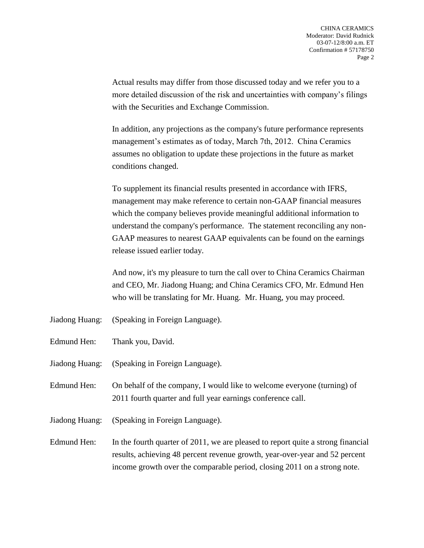Actual results may differ from those discussed today and we refer you to a more detailed discussion of the risk and uncertainties with company's filings with the Securities and Exchange Commission.

In addition, any projections as the company's future performance represents management's estimates as of today, March 7th, 2012. China Ceramics assumes no obligation to update these projections in the future as market conditions changed.

To supplement its financial results presented in accordance with IFRS, management may make reference to certain non-GAAP financial measures which the company believes provide meaningful additional information to understand the company's performance. The statement reconciling any non-GAAP measures to nearest GAAP equivalents can be found on the earnings release issued earlier today.

And now, it's my pleasure to turn the call over to China Ceramics Chairman and CEO, Mr. Jiadong Huang; and China Ceramics CFO, Mr. Edmund Hen who will be translating for Mr. Huang. Mr. Huang, you may proceed.

- Jiadong Huang: (Speaking in Foreign Language).
- Edmund Hen: Thank you, David.
- Jiadong Huang: (Speaking in Foreign Language).
- Edmund Hen: On behalf of the company, I would like to welcome everyone (turning) of 2011 fourth quarter and full year earnings conference call.
- Jiadong Huang: (Speaking in Foreign Language).
- Edmund Hen: In the fourth quarter of 2011, we are pleased to report quite a strong financial results, achieving 48 percent revenue growth, year-over-year and 52 percent income growth over the comparable period, closing 2011 on a strong note.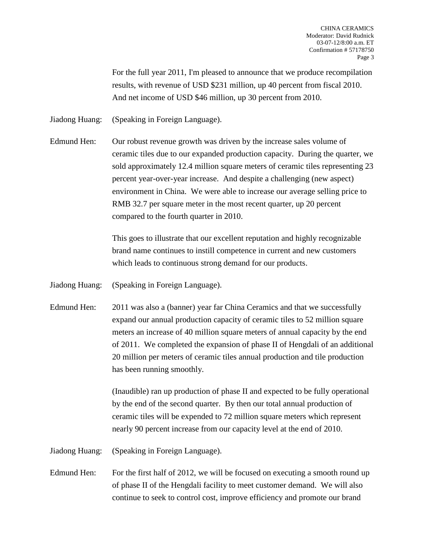For the full year 2011, I'm pleased to announce that we produce recompilation results, with revenue of USD \$231 million, up 40 percent from fiscal 2010. And net income of USD \$46 million, up 30 percent from 2010.

Jiadong Huang: (Speaking in Foreign Language).

Edmund Hen: Our robust revenue growth was driven by the increase sales volume of ceramic tiles due to our expanded production capacity. During the quarter, we sold approximately 12.4 million square meters of ceramic tiles representing 23 percent year-over-year increase. And despite a challenging (new aspect) environment in China. We were able to increase our average selling price to RMB 32.7 per square meter in the most recent quarter, up 20 percent compared to the fourth quarter in 2010.

> This goes to illustrate that our excellent reputation and highly recognizable brand name continues to instill competence in current and new customers which leads to continuous strong demand for our products.

Jiadong Huang: (Speaking in Foreign Language).

Edmund Hen: 2011 was also a (banner) year far China Ceramics and that we successfully expand our annual production capacity of ceramic tiles to 52 million square meters an increase of 40 million square meters of annual capacity by the end of 2011. We completed the expansion of phase II of Hengdali of an additional 20 million per meters of ceramic tiles annual production and tile production has been running smoothly.

> (Inaudible) ran up production of phase II and expected to be fully operational by the end of the second quarter. By then our total annual production of ceramic tiles will be expended to 72 million square meters which represent nearly 90 percent increase from our capacity level at the end of 2010.

Jiadong Huang: (Speaking in Foreign Language).

Edmund Hen: For the first half of 2012, we will be focused on executing a smooth round up of phase II of the Hengdali facility to meet customer demand. We will also continue to seek to control cost, improve efficiency and promote our brand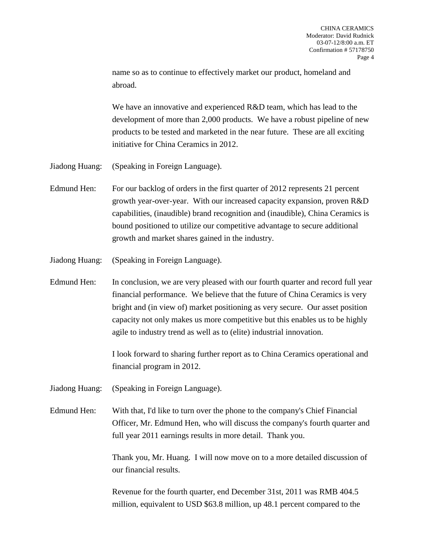name so as to continue to effectively market our product, homeland and abroad.

We have an innovative and experienced R&D team, which has lead to the development of more than 2,000 products. We have a robust pipeline of new products to be tested and marketed in the near future. These are all exciting initiative for China Ceramics in 2012.

- Jiadong Huang: (Speaking in Foreign Language).
- Edmund Hen: For our backlog of orders in the first quarter of 2012 represents 21 percent growth year-over-year. With our increased capacity expansion, proven R&D capabilities, (inaudible) brand recognition and (inaudible), China Ceramics is bound positioned to utilize our competitive advantage to secure additional growth and market shares gained in the industry.

Jiadong Huang: (Speaking in Foreign Language).

Edmund Hen: In conclusion, we are very pleased with our fourth quarter and record full year financial performance. We believe that the future of China Ceramics is very bright and (in view of) market positioning as very secure. Our asset position capacity not only makes us more competitive but this enables us to be highly agile to industry trend as well as to (elite) industrial innovation.

> I look forward to sharing further report as to China Ceramics operational and financial program in 2012.

Jiadong Huang: (Speaking in Foreign Language).

Edmund Hen: With that, I'd like to turn over the phone to the company's Chief Financial Officer, Mr. Edmund Hen, who will discuss the company's fourth quarter and full year 2011 earnings results in more detail. Thank you.

> Thank you, Mr. Huang. I will now move on to a more detailed discussion of our financial results.

Revenue for the fourth quarter, end December 31st, 2011 was RMB 404.5 million, equivalent to USD \$63.8 million, up 48.1 percent compared to the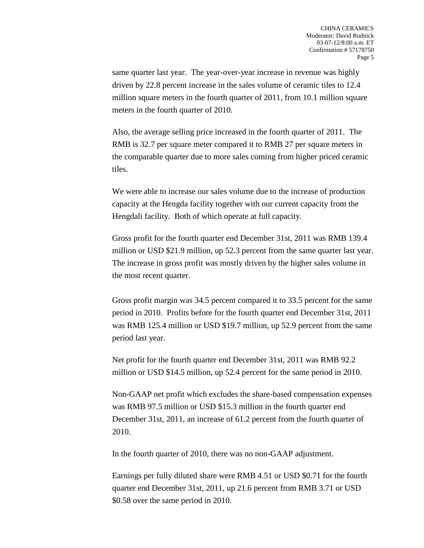same quarter last year. The year-over-year increase in revenue was highly driven by 22.8 percent increase in the sales volume of ceramic tiles to 12.4 million square meters in the fourth quarter of 2011, from 10.1 million square meters in the fourth quarter of 2010.

Also, the average selling price increased in the fourth quarter of 2011. The RMB is 32.7 per square meter compared it to RMB 27 per square meters in the comparable quarter due to more sales coming from higher priced ceramic tiles.

We were able to increase our sales volume due to the increase of production capacity at the Hengda facility together with our current capacity from the Hengdali facility. Both of which operate at full capacity.

Gross profit for the fourth quarter end December 31st, 2011 was RMB 139.4 million or USD \$21.9 million, up 52.3 percent from the same quarter last year. The increase in gross profit was mostly driven by the higher sales volume in the most recent quarter.

Gross profit margin was 34.5 percent compared it to 33.5 percent for the same period in 2010. Profits before for the fourth quarter end December 31st, 2011 was RMB 125.4 million or USD \$19.7 million, up 52.9 percent from the same period last year.

Net profit for the fourth quarter end December 31st, 2011 was RMB 92.2 million or USD \$14.5 million, up 52.4 percent for the same period in 2010.

Non-GAAP net profit which excludes the share-based compensation expenses was RMB 97.5 million or USD \$15.3 million in the fourth quarter end December 31st, 2011, an increase of 61.2 percent from the fourth quarter of 2010.

In the fourth quarter of 2010, there was no non-GAAP adjustment.

Earnings per fully diluted share were RMB 4.51 or USD \$0.71 for the fourth quarter end December 31st, 2011, up 21.6 percent from RMB 3.71 or USD \$0.58 over the same period in 2010.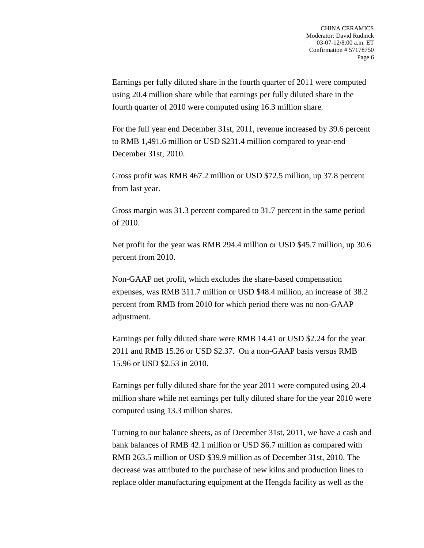Earnings per fully diluted share in the fourth quarter of 2011 were computed using 20.4 million share while that earnings per fully diluted share in the fourth quarter of 2010 were computed using 16.3 million share.

For the full year end December 31st, 2011, revenue increased by 39.6 percent to RMB 1,491.6 million or USD \$231.4 million compared to year-end December 31st, 2010.

Gross profit was RMB 467.2 million or USD \$72.5 million, up 37.8 percent from last year.

Gross margin was 31.3 percent compared to 31.7 percent in the same period of 2010.

Net profit for the year was RMB 294.4 million or USD \$45.7 million, up 30.6 percent from 2010.

Non-GAAP net profit, which excludes the share-based compensation expenses, was RMB 311.7 million or USD \$48.4 million, an increase of 38.2 percent from RMB from 2010 for which period there was no non-GAAP adjustment.

Earnings per fully diluted share were RMB 14.41 or USD \$2.24 for the year 2011 and RMB 15.26 or USD \$2.37. On a non-GAAP basis versus RMB 15.96 or USD \$2.53 in 2010.

Earnings per fully diluted share for the year 2011 were computed using 20.4 million share while net earnings per fully diluted share for the year 2010 were computed using 13.3 million shares.

Turning to our balance sheets, as of December 31st, 2011, we have a cash and bank balances of RMB 42.1 million or USD \$6.7 million as compared with RMB 263.5 million or USD \$39.9 million as of December 31st, 2010. The decrease was attributed to the purchase of new kilns and production lines to replace older manufacturing equipment at the Hengda facility as well as the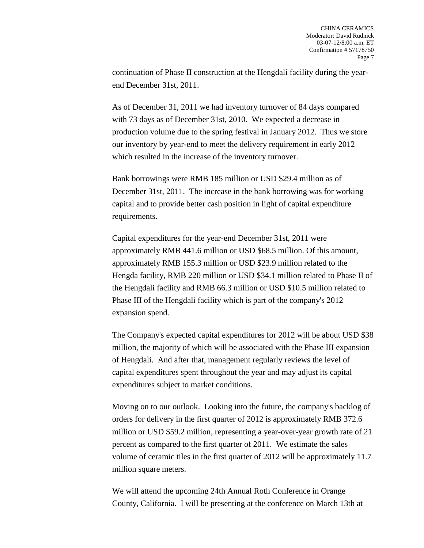continuation of Phase II construction at the Hengdali facility during the yearend December 31st, 2011.

As of December 31, 2011 we had inventory turnover of 84 days compared with 73 days as of December 31st, 2010. We expected a decrease in production volume due to the spring festival in January 2012. Thus we store our inventory by year-end to meet the delivery requirement in early 2012 which resulted in the increase of the inventory turnover.

Bank borrowings were RMB 185 million or USD \$29.4 million as of December 31st, 2011. The increase in the bank borrowing was for working capital and to provide better cash position in light of capital expenditure requirements.

Capital expenditures for the year-end December 31st, 2011 were approximately RMB 441.6 million or USD \$68.5 million. Of this amount, approximately RMB 155.3 million or USD \$23.9 million related to the Hengda facility, RMB 220 million or USD \$34.1 million related to Phase II of the Hengdali facility and RMB 66.3 million or USD \$10.5 million related to Phase III of the Hengdali facility which is part of the company's 2012 expansion spend.

The Company's expected capital expenditures for 2012 will be about USD \$38 million, the majority of which will be associated with the Phase III expansion of Hengdali. And after that, management regularly reviews the level of capital expenditures spent throughout the year and may adjust its capital expenditures subject to market conditions.

Moving on to our outlook. Looking into the future, the company's backlog of orders for delivery in the first quarter of 2012 is approximately RMB 372.6 million or USD \$59.2 million, representing a year-over-year growth rate of 21 percent as compared to the first quarter of 2011. We estimate the sales volume of ceramic tiles in the first quarter of 2012 will be approximately 11.7 million square meters.

We will attend the upcoming 24th Annual Roth Conference in Orange County, California. I will be presenting at the conference on March 13th at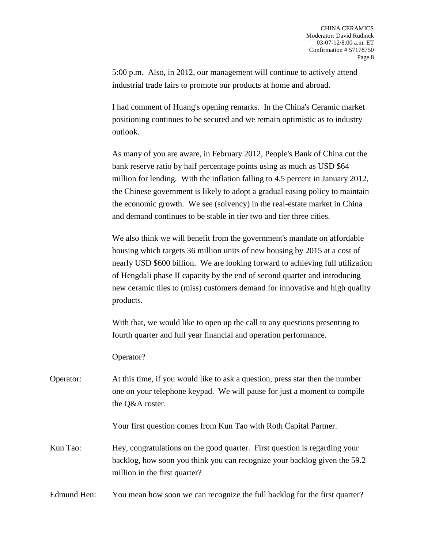5:00 p.m. Also, in 2012, our management will continue to actively attend industrial trade fairs to promote our products at home and abroad.

I had comment of Huang's opening remarks. In the China's Ceramic market positioning continues to be secured and we remain optimistic as to industry outlook.

As many of you are aware, in February 2012, People's Bank of China cut the bank reserve ratio by half percentage points using as much as USD \$64 million for lending. With the inflation falling to 4.5 percent in January 2012, the Chinese government is likely to adopt a gradual easing policy to maintain the economic growth. We see (solvency) in the real-estate market in China and demand continues to be stable in tier two and tier three cities.

We also think we will benefit from the government's mandate on affordable housing which targets 36 million units of new housing by 2015 at a cost of nearly USD \$600 billion. We are looking forward to achieving full utilization of Hengdali phase II capacity by the end of second quarter and introducing new ceramic tiles to (miss) customers demand for innovative and high quality products.

With that, we would like to open up the call to any questions presenting to fourth quarter and full year financial and operation performance.

Operator?

Operator: At this time, if you would like to ask a question, press star then the number one on your telephone keypad. We will pause for just a moment to compile the Q&A roster.

Your first question comes from Kun Tao with Roth Capital Partner.

Kun Tao: Hey, congratulations on the good quarter. First question is regarding your backlog, how soon you think you can recognize your backlog given the 59.2 million in the first quarter?

Edmund Hen: You mean how soon we can recognize the full backlog for the first quarter?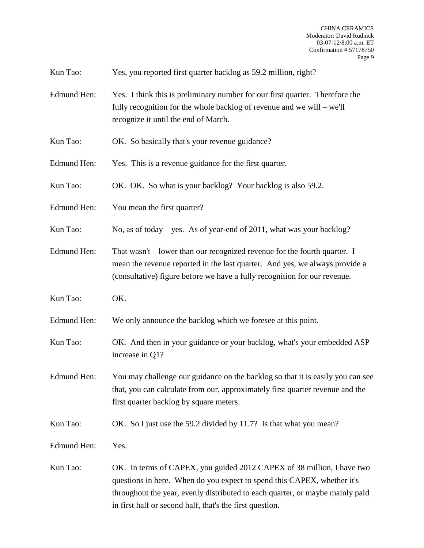Kun Tao: Yes, you reported first quarter backlog as 59.2 million, right?

- Edmund Hen: Yes. I think this is preliminary number for our first quarter. Therefore the fully recognition for the whole backlog of revenue and we will – we'll recognize it until the end of March.
- Kun Tao: OK. So basically that's your revenue guidance?
- Edmund Hen: Yes. This is a revenue guidance for the first quarter.
- Kun Tao: OK. OK. So what is your backlog? Your backlog is also 59.2.
- Edmund Hen: You mean the first quarter?

Kun Tao: No, as of today – yes. As of year-end of 2011, what was your backlog?

- Edmund Hen: That wasn't lower than our recognized revenue for the fourth quarter. I mean the revenue reported in the last quarter. And yes, we always provide a (consultative) figure before we have a fully recognition for our revenue.
- Kun Tao: OK.

Edmund Hen: We only announce the backlog which we foresee at this point.

- Kun Tao: OK. And then in your guidance or your backlog, what's your embedded ASP increase in Q1?
- Edmund Hen: You may challenge our guidance on the backlog so that it is easily you can see that, you can calculate from our, approximately first quarter revenue and the first quarter backlog by square meters.
- Kun Tao: OK. So I just use the 59.2 divided by 11.7? Is that what you mean?

Edmund Hen: Yes.

Kun Tao: OK. In terms of CAPEX, you guided 2012 CAPEX of 38 million, I have two questions in here. When do you expect to spend this CAPEX, whether it's throughout the year, evenly distributed to each quarter, or maybe mainly paid in first half or second half, that's the first question.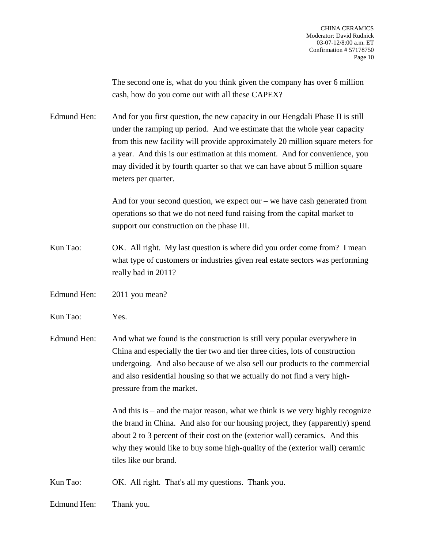The second one is, what do you think given the company has over 6 million cash, how do you come out with all these CAPEX?

Edmund Hen: And for you first question, the new capacity in our Hengdali Phase II is still under the ramping up period. And we estimate that the whole year capacity from this new facility will provide approximately 20 million square meters for a year. And this is our estimation at this moment. And for convenience, you may divided it by fourth quarter so that we can have about 5 million square meters per quarter.

> And for your second question, we expect our – we have cash generated from operations so that we do not need fund raising from the capital market to support our construction on the phase III.

Kun Tao: OK. All right. My last question is where did you order come from? I mean what type of customers or industries given real estate sectors was performing really bad in 2011?

Edmund Hen: 2011 you mean?

Kun Tao: Yes.

Edmund Hen: And what we found is the construction is still very popular everywhere in China and especially the tier two and tier three cities, lots of construction undergoing. And also because of we also sell our products to the commercial and also residential housing so that we actually do not find a very highpressure from the market.

> And this is  $-$  and the major reason, what we think is we very highly recognize the brand in China. And also for our housing project, they (apparently) spend about 2 to 3 percent of their cost on the (exterior wall) ceramics. And this why they would like to buy some high-quality of the (exterior wall) ceramic tiles like our brand.

Kun Tao: OK. All right. That's all my questions. Thank you.

Edmund Hen: Thank you.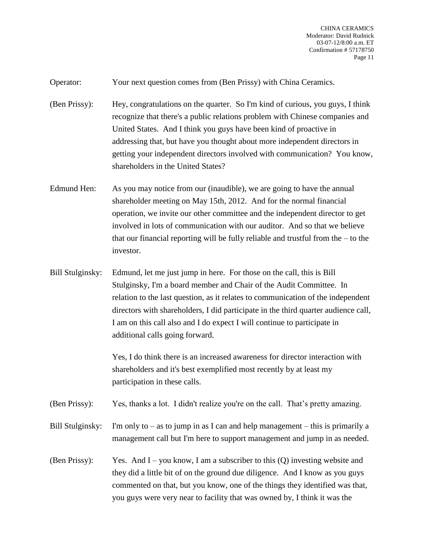Operator: Your next question comes from (Ben Prissy) with China Ceramics.

- (Ben Prissy): Hey, congratulations on the quarter. So I'm kind of curious, you guys, I think recognize that there's a public relations problem with Chinese companies and United States. And I think you guys have been kind of proactive in addressing that, but have you thought about more independent directors in getting your independent directors involved with communication? You know, shareholders in the United States?
- Edmund Hen: As you may notice from our (inaudible), we are going to have the annual shareholder meeting on May 15th, 2012. And for the normal financial operation, we invite our other committee and the independent director to get involved in lots of communication with our auditor. And so that we believe that our financial reporting will be fully reliable and trustful from the – to the investor.
- Bill Stulginsky: Edmund, let me just jump in here. For those on the call, this is Bill Stulginsky, I'm a board member and Chair of the Audit Committee. In relation to the last question, as it relates to communication of the independent directors with shareholders, I did participate in the third quarter audience call, I am on this call also and I do expect I will continue to participate in additional calls going forward.

Yes, I do think there is an increased awareness for director interaction with shareholders and it's best exemplified most recently by at least my participation in these calls.

(Ben Prissy): Yes, thanks a lot. I didn't realize you're on the call. That's pretty amazing.

Bill Stulginsky: I'm only to  $-$  as to jump in as I can and help management  $-$  this is primarily a management call but I'm here to support management and jump in as needed.

(Ben Prissy): Yes. And I – you know, I am a subscriber to this (Q) investing website and they did a little bit of on the ground due diligence. And I know as you guys commented on that, but you know, one of the things they identified was that, you guys were very near to facility that was owned by, I think it was the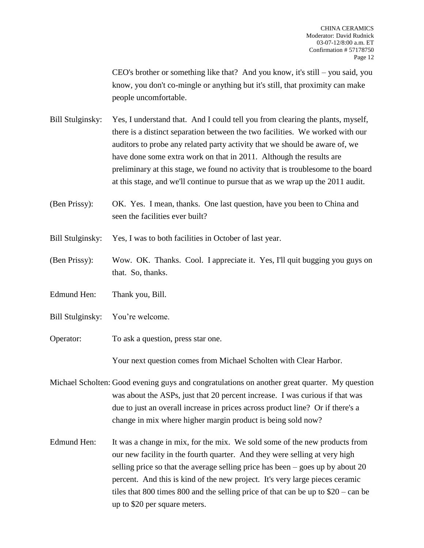CEO's brother or something like that? And you know, it's still – you said, you know, you don't co-mingle or anything but it's still, that proximity can make people uncomfortable.

- Bill Stulginsky: Yes, I understand that. And I could tell you from clearing the plants, myself, there is a distinct separation between the two facilities. We worked with our auditors to probe any related party activity that we should be aware of, we have done some extra work on that in 2011. Although the results are preliminary at this stage, we found no activity that is troublesome to the board at this stage, and we'll continue to pursue that as we wrap up the 2011 audit.
- (Ben Prissy): OK. Yes. I mean, thanks. One last question, have you been to China and seen the facilities ever built?
- Bill Stulginsky: Yes, I was to both facilities in October of last year.
- (Ben Prissy): Wow. OK. Thanks. Cool. I appreciate it. Yes, I'll quit bugging you guys on that. So, thanks.
- Edmund Hen: Thank you, Bill.
- Bill Stulginsky: You're welcome.
- Operator: To ask a question, press star one.

Your next question comes from Michael Scholten with Clear Harbor.

- Michael Scholten: Good evening guys and congratulations on another great quarter. My question was about the ASPs, just that 20 percent increase. I was curious if that was due to just an overall increase in prices across product line? Or if there's a change in mix where higher margin product is being sold now?
- Edmund Hen: It was a change in mix, for the mix. We sold some of the new products from our new facility in the fourth quarter. And they were selling at very high selling price so that the average selling price has been – goes up by about 20 percent. And this is kind of the new project. It's very large pieces ceramic tiles that 800 times 800 and the selling price of that can be up to \$20 – can be up to \$20 per square meters.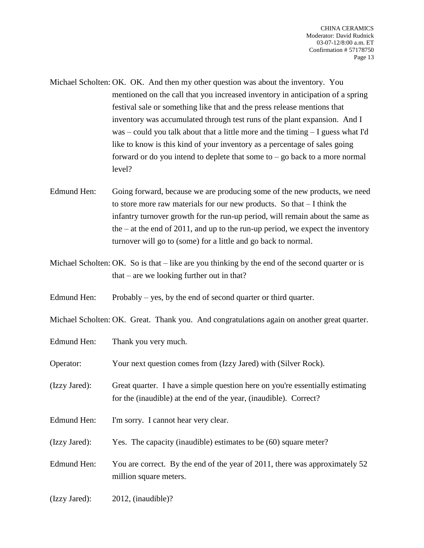Michael Scholten: OK. OK. And then my other question was about the inventory. You mentioned on the call that you increased inventory in anticipation of a spring festival sale or something like that and the press release mentions that inventory was accumulated through test runs of the plant expansion. And I was – could you talk about that a little more and the timing – I guess what I'd like to know is this kind of your inventory as a percentage of sales going forward or do you intend to deplete that some to – go back to a more normal level?

Edmund Hen: Going forward, because we are producing some of the new products, we need to store more raw materials for our new products. So that – I think the infantry turnover growth for the run-up period, will remain about the same as the – at the end of 2011, and up to the run-up period, we expect the inventory turnover will go to (some) for a little and go back to normal.

Michael Scholten: OK. So is that – like are you thinking by the end of the second quarter or is that – are we looking further out in that?

Edmund Hen: Probably – yes, by the end of second quarter or third quarter.

Michael Scholten: OK. Great. Thank you. And congratulations again on another great quarter.

- Edmund Hen: Thank you very much.
- Operator: Your next question comes from (Izzy Jared) with (Silver Rock).
- (Izzy Jared): Great quarter. I have a simple question here on you're essentially estimating for the (inaudible) at the end of the year, (inaudible). Correct?
- Edmund Hen: I'm sorry. I cannot hear very clear.
- (Izzy Jared): Yes. The capacity (inaudible) estimates to be (60) square meter?

Edmund Hen: You are correct. By the end of the year of 2011, there was approximately 52 million square meters.

(Izzy Jared): 2012, (inaudible)?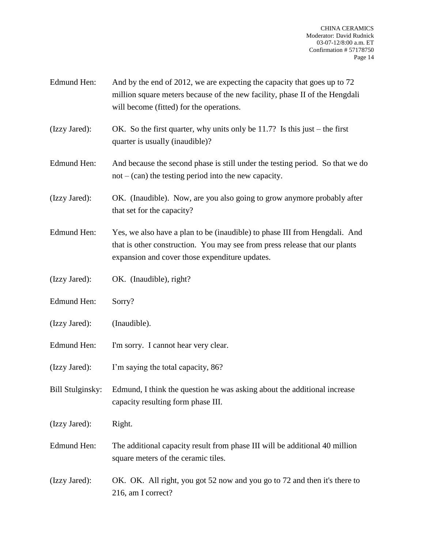- Edmund Hen: And by the end of 2012, we are expecting the capacity that goes up to 72 million square meters because of the new facility, phase II of the Hengdali will become (fitted) for the operations.
- (Izzy Jared): OK. So the first quarter, why units only be 11.7? Is this just the first quarter is usually (inaudible)?
- Edmund Hen: And because the second phase is still under the testing period. So that we do  $not - (can)$  the testing period into the new capacity.
- (Izzy Jared): OK. (Inaudible). Now, are you also going to grow anymore probably after that set for the capacity?
- Edmund Hen: Yes, we also have a plan to be (inaudible) to phase III from Hengdali. And that is other construction. You may see from press release that our plants expansion and cover those expenditure updates.
- (Izzy Jared): OK. (Inaudible), right?
- Edmund Hen: Sorry?
- (Izzy Jared): (Inaudible).
- Edmund Hen: I'm sorry. I cannot hear very clear.
- (Izzy Jared): I'm saying the total capacity, 86?
- Bill Stulginsky: Edmund, I think the question he was asking about the additional increase capacity resulting form phase III.
- (Izzy Jared): Right.
- Edmund Hen: The additional capacity result from phase III will be additional 40 million square meters of the ceramic tiles.
- (Izzy Jared): OK. OK. All right, you got 52 now and you go to 72 and then it's there to 216, am I correct?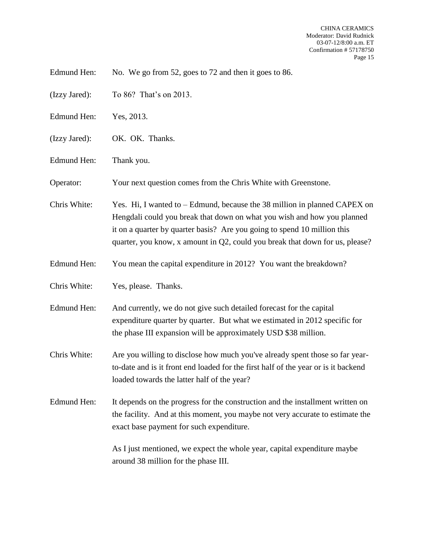Edmund Hen: No. We go from 52, goes to 72 and then it goes to 86.

- (Izzy Jared): To 86? That's on 2013.
- Edmund Hen: Yes, 2013.
- (Izzy Jared): OK. OK. Thanks.
- Edmund Hen: Thank you.

Operator: Your next question comes from the Chris White with Greenstone.

Chris White: Yes. Hi, I wanted to – Edmund, because the 38 million in planned CAPEX on Hengdali could you break that down on what you wish and how you planned it on a quarter by quarter basis? Are you going to spend 10 million this quarter, you know, x amount in Q2, could you break that down for us, please?

- Edmund Hen: You mean the capital expenditure in 2012? You want the breakdown?
- Chris White: Yes, please. Thanks.
- Edmund Hen: And currently, we do not give such detailed forecast for the capital expenditure quarter by quarter. But what we estimated in 2012 specific for the phase III expansion will be approximately USD \$38 million.
- Chris White: Are you willing to disclose how much you've already spent those so far yearto-date and is it front end loaded for the first half of the year or is it backend loaded towards the latter half of the year?
- Edmund Hen: It depends on the progress for the construction and the installment written on the facility. And at this moment, you maybe not very accurate to estimate the exact base payment for such expenditure.

As I just mentioned, we expect the whole year, capital expenditure maybe around 38 million for the phase III.